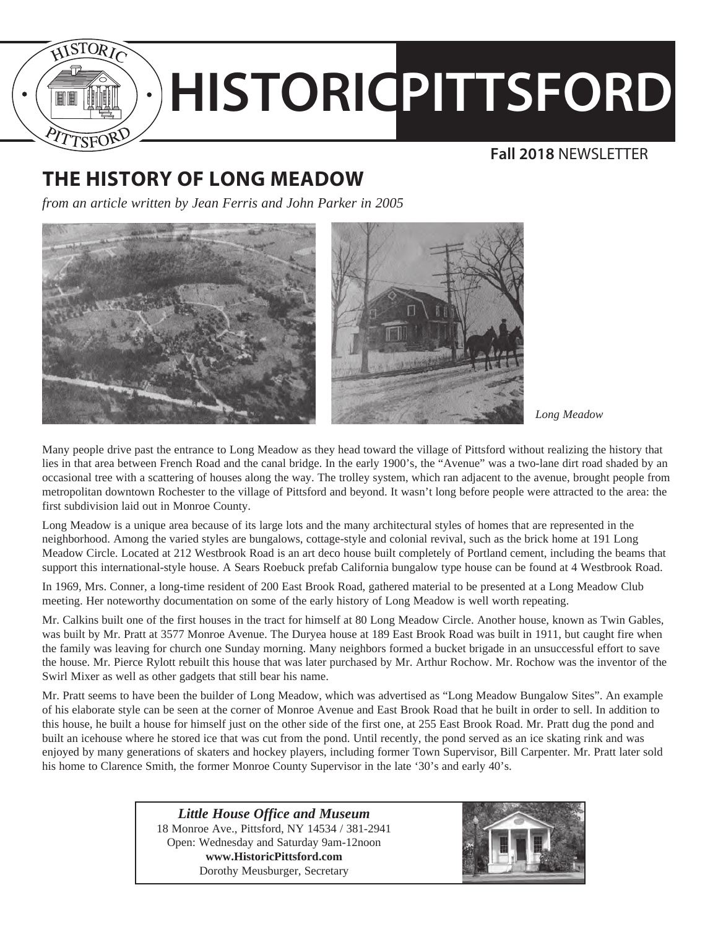

# **HISTORICPITTSFORD**

## **Fall 2018** NEWSLETTER

# **THE HISTORY OF LONG MEADOW**

*from an article written by Jean Ferris and John Parker in 2005*



*Long Meadow*

Many people drive past the entrance to Long Meadow as they head toward the village of Pittsford without realizing the history that lies in that area between French Road and the canal bridge. In the early 1900's, the "Avenue" was a two-lane dirt road shaded by an occasional tree with a scattering of houses along the way. The trolley system, which ran adjacent to the avenue, brought people from metropolitan downtown Rochester to the village of Pittsford and beyond. It wasn't long before people were attracted to the area: the first subdivision laid out in Monroe County.

Long Meadow is a unique area because of its large lots and the many architectural styles of homes that are represented in the neighborhood. Among the varied styles are bungalows, cottage-style and colonial revival, such as the brick home at 191 Long Meadow Circle. Located at 212 Westbrook Road is an art deco house built completely of Portland cement, including the beams that support this international-style house. A Sears Roebuck prefab California bungalow type house can be found at 4 Westbrook Road.

In 1969, Mrs. Conner, a long-time resident of 200 East Brook Road, gathered material to be presented at a Long Meadow Club meeting. Her noteworthy documentation on some of the early history of Long Meadow is well worth repeating.

Mr. Calkins built one of the first houses in the tract for himself at 80 Long Meadow Circle. Another house, known as Twin Gables, was built by Mr. Pratt at 3577 Monroe Avenue. The Duryea house at 189 East Brook Road was built in 1911, but caught fire when the family was leaving for church one Sunday morning. Many neighbors formed a bucket brigade in an unsuccessful effort to save the house. Mr. Pierce Rylott rebuilt this house that was later purchased by Mr. Arthur Rochow. Mr. Rochow was the inventor of the Swirl Mixer as well as other gadgets that still bear his name.

Mr. Pratt seems to have been the builder of Long Meadow, which was advertised as "Long Meadow Bungalow Sites". An example of his elaborate style can be seen at the corner of Monroe Avenue and East Brook Road that he built in order to sell. In addition to this house, he built a house for himself just on the other side of the first one, at 255 East Brook Road. Mr. Pratt dug the pond and built an icehouse where he stored ice that was cut from the pond. Until recently, the pond served as an ice skating rink and was enjoyed by many generations of skaters and hockey players, including former Town Supervisor, Bill Carpenter. Mr. Pratt later sold his home to Clarence Smith, the former Monroe County Supervisor in the late '30's and early 40's.

> *Little House Office and Museum* 18 Monroe Ave., Pittsford, NY 14534 / 381-2941 Open: Wednesday and Saturday 9am-12noon **www.HistoricPittsford.com** Dorothy Meusburger, Secretary

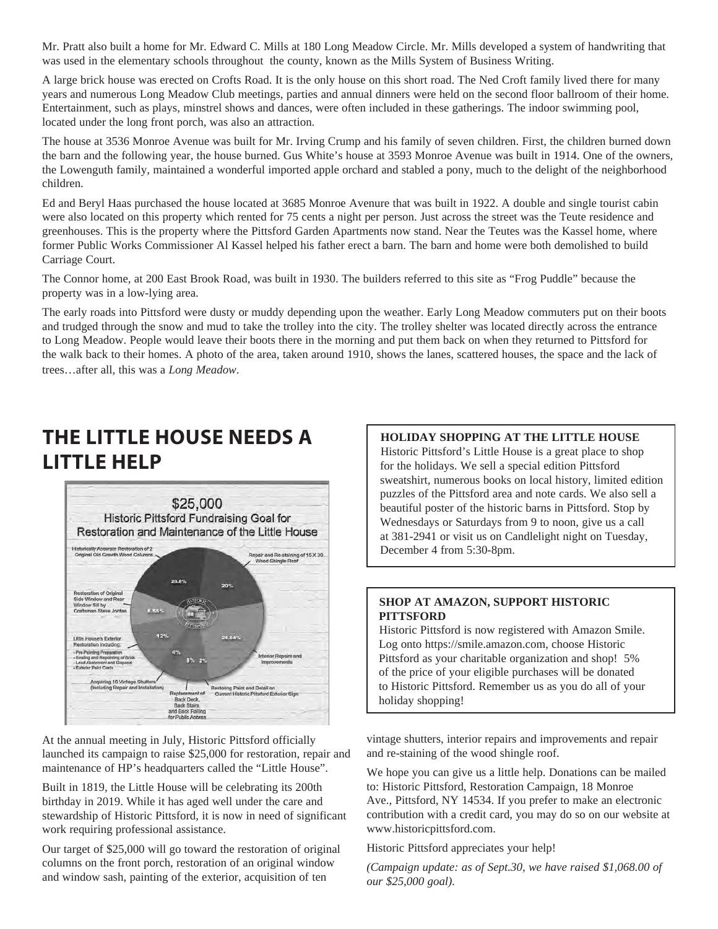Mr. Pratt also built a home for Mr. Edward C. Mills at 180 Long Meadow Circle. Mr. Mills developed a system of handwriting that was used in the elementary schools throughout the county, known as the Mills System of Business Writing.

A large brick house was erected on Crofts Road. It is the only house on this short road. The Ned Croft family lived there for many years and numerous Long Meadow Club meetings, parties and annual dinners were held on the second floor ballroom of their home. Entertainment, such as plays, minstrel shows and dances, were often included in these gatherings. The indoor swimming pool, located under the long front porch, was also an attraction.

The house at 3536 Monroe Avenue was built for Mr. Irving Crump and his family of seven children. First, the children burned down the barn and the following year, the house burned. Gus White's house at 3593 Monroe Avenue was built in 1914. One of the owners, the Lowenguth family, maintained a wonderful imported apple orchard and stabled a pony, much to the delight of the neighborhood children.

Ed and Beryl Haas purchased the house located at 3685 Monroe Avenure that was built in 1922. A double and single tourist cabin were also located on this property which rented for 75 cents a night per person. Just across the street was the Teute residence and greenhouses. This is the property where the Pittsford Garden Apartments now stand. Near the Teutes was the Kassel home, where former Public Works Commissioner Al Kassel helped his father erect a barn. The barn and home were both demolished to build Carriage Court.

The Connor home, at 200 East Brook Road, was built in 1930. The builders referred to this site as "Frog Puddle" because the property was in a low-lying area.

The early roads into Pittsford were dusty or muddy depending upon the weather. Early Long Meadow commuters put on their boots and trudged through the snow and mud to take the trolley into the city. The trolley shelter was located directly across the entrance to Long Meadow. People would leave their boots there in the morning and put them back on when they returned to Pittsford for the walk back to their homes. A photo of the area, taken around 1910, shows the lanes, scattered houses, the space and the lack of trees…after all, this was a *Long Meadow*.

# **THE LITTLE HOUSE NEEDS A LITTLE HELP**



At the annual meeting in July, Historic Pittsford officially launched its campaign to raise \$25,000 for restoration, repair and maintenance of HP's headquarters called the "Little House".

Built in 1819, the Little House will be celebrating its 200th birthday in 2019. While it has aged well under the care and stewardship of Historic Pittsford, it is now in need of significant work requiring professional assistance.

Our target of \$25,000 will go toward the restoration of original columns on the front porch, restoration of an original window and window sash, painting of the exterior, acquisition of ten

### **HOLIDAY SHOPPING AT THE LITTLE HOUSE**

Historic Pittsford's Little House is a great place to shop for the holidays. We sell a special edition Pittsford sweatshirt, numerous books on local history, limited edition puzzles of the Pittsford area and note cards. We also sell a beautiful poster of the historic barns in Pittsford. Stop by Wednesdays or Saturdays from 9 to noon, give us a call at 381-2941 or visit us on Candlelight night on Tuesday, December 4 from 5:30-8pm.

#### **SHOP AT AMAZON, SUPPORT HISTORIC PITTSFORD**

Historic Pittsford is now registered with Amazon Smile. Log onto https://smile.amazon.com, choose Historic Pittsford as your charitable organization and shop! 5% of the price of your eligible purchases will be donated to Historic Pittsford. Remember us as you do all of your holiday shopping!

vintage shutters, interior repairs and improvements and repair and re-staining of the wood shingle roof.

We hope you can give us a little help. Donations can be mailed to: Historic Pittsford, Restoration Campaign, 18 Monroe Ave., Pittsford, NY 14534. If you prefer to make an electronic contribution with a credit card, you may do so on our website at www.historicpittsford.com.

Historic Pittsford appreciates your help!

*(Campaign update: as of Sept.30, we have raised \$1,068.00 of our \$25,000 goal).*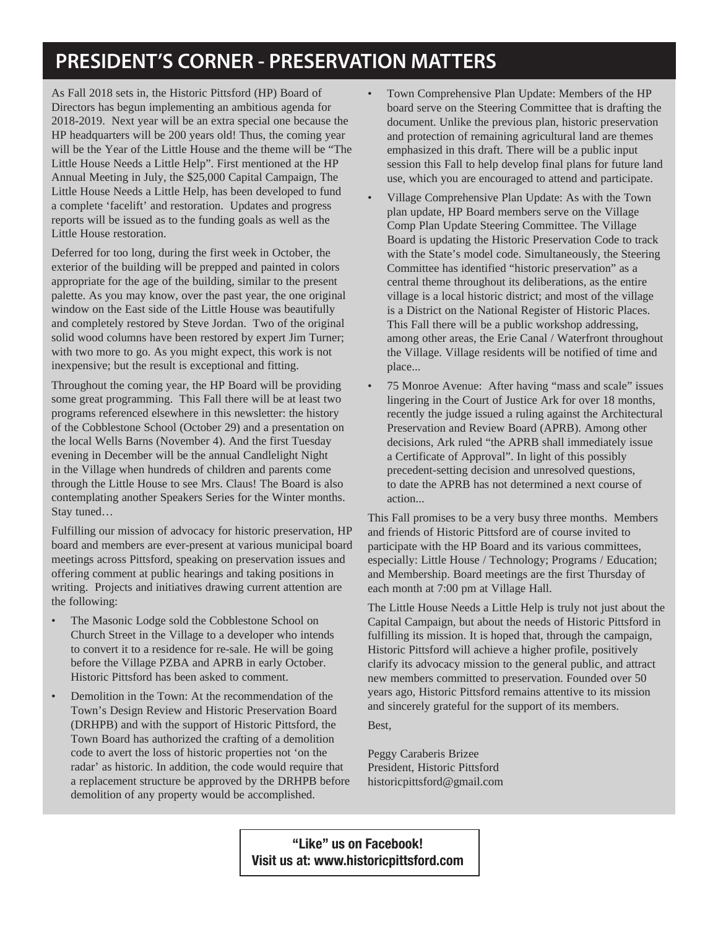# **PRESIDENT'S CORNER - PRESERVATION MATTERS**

As Fall 2018 sets in, the Historic Pittsford (HP) Board of Directors has begun implementing an ambitious agenda for 2018-2019. Next year will be an extra special one because the HP headquarters will be 200 years old! Thus, the coming year will be the Year of the Little House and the theme will be "The Little House Needs a Little Help". First mentioned at the HP Annual Meeting in July, the \$25,000 Capital Campaign, The Little House Needs a Little Help, has been developed to fund a complete 'facelift' and restoration. Updates and progress reports will be issued as to the funding goals as well as the Little House restoration.

Deferred for too long, during the first week in October, the exterior of the building will be prepped and painted in colors appropriate for the age of the building, similar to the present palette. As you may know, over the past year, the one original window on the East side of the Little House was beautifully and completely restored by Steve Jordan. Two of the original solid wood columns have been restored by expert Jim Turner; with two more to go. As you might expect, this work is not inexpensive; but the result is exceptional and fitting.

Throughout the coming year, the HP Board will be providing some great programming. This Fall there will be at least two programs referenced elsewhere in this newsletter: the history of the Cobblestone School (October 29) and a presentation on the local Wells Barns (November 4). And the first Tuesday evening in December will be the annual Candlelight Night in the Village when hundreds of children and parents come through the Little House to see Mrs. Claus! The Board is also contemplating another Speakers Series for the Winter months. Stay tuned…

Fulfilling our mission of advocacy for historic preservation, HP board and members are ever-present at various municipal board meetings across Pittsford, speaking on preservation issues and offering comment at public hearings and taking positions in writing. Projects and initiatives drawing current attention are the following:

- The Masonic Lodge sold the Cobblestone School on Church Street in the Village to a developer who intends to convert it to a residence for re-sale. He will be going before the Village PZBA and APRB in early October. Historic Pittsford has been asked to comment.
- Demolition in the Town: At the recommendation of the Town's Design Review and Historic Preservation Board (DRHPB) and with the support of Historic Pittsford, the Town Board has authorized the crafting of a demolition code to avert the loss of historic properties not 'on the radar' as historic. In addition, the code would require that a replacement structure be approved by the DRHPB before demolition of any property would be accomplished.
- Town Comprehensive Plan Update: Members of the HP board serve on the Steering Committee that is drafting the document. Unlike the previous plan, historic preservation and protection of remaining agricultural land are themes emphasized in this draft. There will be a public input session this Fall to help develop final plans for future land use, which you are encouraged to attend and participate.
- Village Comprehensive Plan Update: As with the Town plan update, HP Board members serve on the Village Comp Plan Update Steering Committee. The Village Board is updating the Historic Preservation Code to track with the State's model code. Simultaneously, the Steering Committee has identified "historic preservation" as a central theme throughout its deliberations, as the entire village is a local historic district; and most of the village is a District on the National Register of Historic Places. This Fall there will be a public workshop addressing, among other areas, the Erie Canal / Waterfront throughout the Village. Village residents will be notified of time and place...
- 75 Monroe Avenue: After having "mass and scale" issues lingering in the Court of Justice Ark for over 18 months, recently the judge issued a ruling against the Architectural Preservation and Review Board (APRB). Among other decisions, Ark ruled "the APRB shall immediately issue a Certificate of Approval". In light of this possibly precedent-setting decision and unresolved questions, to date the APRB has not determined a next course of action...

This Fall promises to be a very busy three months. Members and friends of Historic Pittsford are of course invited to participate with the HP Board and its various committees, especially: Little House / Technology; Programs / Education; and Membership. Board meetings are the first Thursday of each month at 7:00 pm at Village Hall.

The Little House Needs a Little Help is truly not just about the Capital Campaign, but about the needs of Historic Pittsford in fulfilling its mission. It is hoped that, through the campaign, Historic Pittsford will achieve a higher profile, positively clarify its advocacy mission to the general public, and attract new members committed to preservation. Founded over 50 years ago, Historic Pittsford remains attentive to its mission and sincerely grateful for the support of its members.

Best,

Peggy Caraberis Brizee President, Historic Pittsford historicpittsford@gmail.com

"Like" us on Facebook! Visit us at: www.historicpittsford.com